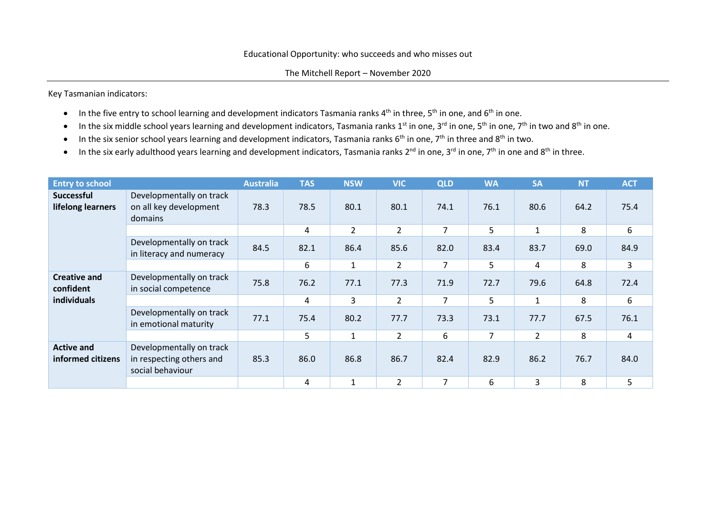Key Tasmanian indicators:

- $\bullet$  In the five entry to school learning and development indicators Tasmania ranks 4<sup>th</sup> in three, 5<sup>th</sup> in one, and 6<sup>th</sup> in one.
- In the six middle school years learning and development indicators, Tasmania ranks 1<sup>st</sup> in one, 3<sup>rd</sup> in one, 5<sup>th</sup> in one, 7<sup>th</sup> in two and 8<sup>th</sup> in one.
- In the six senior school years learning and development indicators, Tasmania ranks  $6<sup>th</sup>$  in one,  $7<sup>th</sup>$  in three and  $8<sup>th</sup>$  in two.
- $\bullet$  In the six early adulthood years learning and development indicators, Tasmania ranks 2<sup>nd</sup> in one, 3<sup>rd</sup> in one, 7<sup>th</sup> in one and 8<sup>th</sup> in three.

| <b>Entry to school</b>                          |                                                                          | <b>Australia</b> | <b>TAS</b> | <b>NSW</b>     | <b>VIC</b>     | <b>QLD</b>     | <b>WA</b>      | <b>SA</b>      | <b>NT</b> | <b>ACT</b> |
|-------------------------------------------------|--------------------------------------------------------------------------|------------------|------------|----------------|----------------|----------------|----------------|----------------|-----------|------------|
| <b>Successful</b><br>lifelong learners          | Developmentally on track<br>on all key development<br>domains            | 78.3             | 78.5       | 80.1           | 80.1           | 74.1           | 76.1           | 80.6           | 64.2      | 75.4       |
|                                                 |                                                                          |                  | 4          | $\overline{2}$ | $\overline{2}$ | $\overline{7}$ | 5              | $\mathbf{1}$   | 8         | 6          |
|                                                 | Developmentally on track<br>in literacy and numeracy                     | 84.5             | 82.1       | 86.4           | 85.6           | 82.0           | 83.4           | 83.7           | 69.0      | 84.9       |
|                                                 |                                                                          |                  | 6          | $\mathbf{1}$   | $\overline{2}$ | $\overline{7}$ | 5              | 4              | 8         | 3          |
| <b>Creative and</b><br>confident<br>individuals | Developmentally on track<br>in social competence                         | 75.8             | 76.2       | 77.1           | 77.3           | 71.9           | 72.7           | 79.6           | 64.8      | 72.4       |
|                                                 |                                                                          |                  | 4          | 3              | $\overline{2}$ | $\overline{7}$ | 5              | 1              | 8         | 6          |
|                                                 | Developmentally on track<br>in emotional maturity                        | 77.1             | 75.4       | 80.2           | 77.7           | 73.3           | 73.1           | 77.7           | 67.5      | 76.1       |
|                                                 |                                                                          |                  | 5          | $\mathbf{1}$   | $\overline{2}$ | 6              | $\overline{7}$ | $\overline{2}$ | 8         | 4          |
| <b>Active and</b><br>informed citizens          | Developmentally on track<br>in respecting others and<br>social behaviour | 85.3             | 86.0       | 86.8           | 86.7           | 82.4           | 82.9           | 86.2           | 76.7      | 84.0       |
|                                                 |                                                                          |                  | 4          | $\mathbf{1}$   | $\overline{2}$ | 7              | 6              | 3              | 8         | 5          |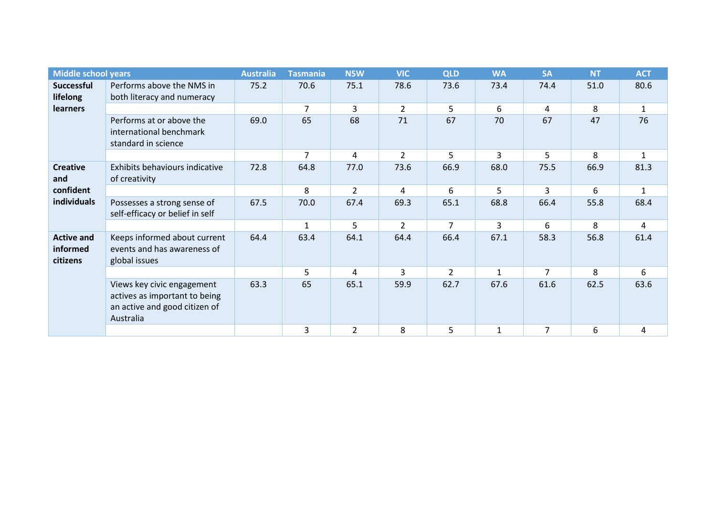| <b>Middle school years</b>                         |                                                                                                           | <b>Australia</b> | <b>Tasmania</b> | <b>NSW</b>     | <b>VIC</b>     | <b>QLD</b>     | <b>WA</b>    | <b>SA</b>      | <b>NT</b> | <b>ACT</b>   |
|----------------------------------------------------|-----------------------------------------------------------------------------------------------------------|------------------|-----------------|----------------|----------------|----------------|--------------|----------------|-----------|--------------|
| <b>Successful</b><br>lifelong                      | Performs above the NMS in<br>both literacy and numeracy                                                   | 75.2             | 70.6            | 75.1           | 78.6           | 73.6           | 73.4         | 74.4           | 51.0      | 80.6         |
| <b>learners</b>                                    |                                                                                                           |                  | 7               | 3              | $\overline{2}$ | 5              | 6            | 4              | 8         | $\mathbf{1}$ |
|                                                    | Performs at or above the<br>international benchmark<br>standard in science                                | 69.0             | 65              | 68             | 71             | 67             | 70           | 67             | 47        | 76           |
|                                                    |                                                                                                           |                  | 7               | 4              | $\overline{2}$ | 5              | 3            | 5              | 8         | $\mathbf{1}$ |
| <b>Creative</b><br>and<br>confident<br>individuals | Exhibits behaviours indicative<br>of creativity                                                           | 72.8             | 64.8            | 77.0           | 73.6           | 66.9           | 68.0         | 75.5           | 66.9      | 81.3         |
|                                                    |                                                                                                           |                  | 8               | $\overline{2}$ | 4              | 6              | 5            | 3              | 6         | $\mathbf{1}$ |
|                                                    | Possesses a strong sense of<br>self-efficacy or belief in self                                            | 67.5             | 70.0            | 67.4           | 69.3           | 65.1           | 68.8         | 66.4           | 55.8      | 68.4         |
|                                                    |                                                                                                           |                  | $\mathbf{1}$    | 5              | 2              | $\overline{7}$ | 3            | 6              | 8         | 4            |
| <b>Active and</b><br>informed<br>citizens          | Keeps informed about current<br>events and has awareness of<br>global issues                              | 64.4             | 63.4            | 64.1           | 64.4           | 66.4           | 67.1         | 58.3           | 56.8      | 61.4         |
|                                                    |                                                                                                           |                  | 5.              | 4              | $\mathbf{3}$   | $\mathcal{P}$  | $\mathbf{1}$ | $\overline{7}$ | 8         | 6            |
|                                                    | Views key civic engagement<br>actives as important to being<br>an active and good citizen of<br>Australia | 63.3             | 65              | 65.1           | 59.9           | 62.7           | 67.6         | 61.6           | 62.5      | 63.6         |
|                                                    |                                                                                                           |                  | 3               | $\overline{2}$ | 8              | 5              | $\mathbf{1}$ | 7              | 6         | 4            |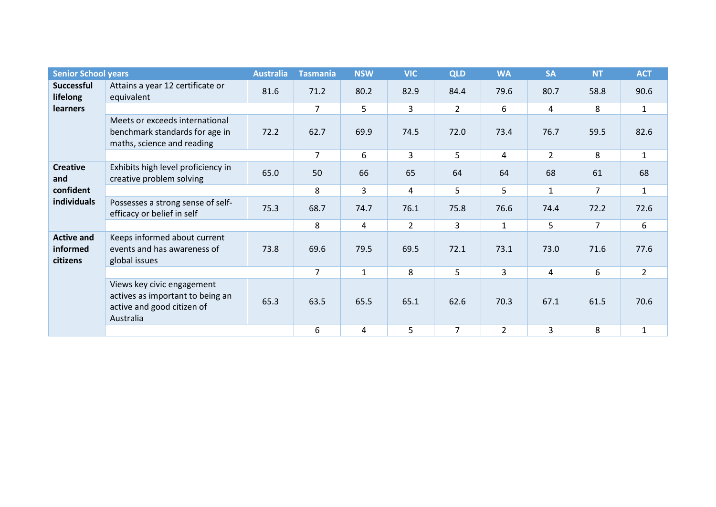| <b>Senior School years</b>                         |                                                                                                           | <b>Australia</b> | <b>Tasmania</b> | <b>NSW</b>   | <b>VIC</b>     | <b>QLD</b>     | <b>WA</b>      | <b>SA</b>      | <b>NT</b>      | <b>ACT</b>   |
|----------------------------------------------------|-----------------------------------------------------------------------------------------------------------|------------------|-----------------|--------------|----------------|----------------|----------------|----------------|----------------|--------------|
| <b>Successful</b><br>lifelong                      | Attains a year 12 certificate or<br>equivalent                                                            | 81.6             | 71.2            | 80.2         | 82.9           | 84.4           | 79.6           | 80.7           | 58.8           | 90.6         |
| <b>learners</b>                                    |                                                                                                           |                  | $\overline{7}$  | 5            | 3              | $\overline{2}$ | 6              | 4              | 8              | $\mathbf{1}$ |
|                                                    | Meets or exceeds international<br>benchmark standards for age in<br>maths, science and reading            | 72.2             | 62.7            | 69.9         | 74.5           | 72.0           | 73.4           | 76.7           | 59.5           | 82.6         |
|                                                    |                                                                                                           |                  | $\overline{7}$  | 6            | 3              | 5              | 4              | $\overline{2}$ | 8              | $\mathbf{1}$ |
| <b>Creative</b><br>and<br>confident<br>individuals | Exhibits high level proficiency in<br>creative problem solving                                            | 65.0             | 50              | 66           | 65             | 64             | 64             | 68             | 61             | 68           |
|                                                    |                                                                                                           |                  | 8               | 3            | 4              | 5              | 5              | $\mathbf{1}$   | $\overline{7}$ | $\mathbf{1}$ |
|                                                    | Possesses a strong sense of self-<br>efficacy or belief in self                                           | 75.3             | 68.7            | 74.7         | 76.1           | 75.8           | 76.6           | 74.4           | 72.2           | 72.6         |
|                                                    |                                                                                                           |                  | 8               | 4            | $\overline{2}$ | $\overline{3}$ | $\mathbf{1}$   | 5              | $\overline{7}$ | 6            |
| <b>Active and</b><br>informed<br>citizens          | Keeps informed about current<br>events and has awareness of<br>global issues                              | 73.8             | 69.6            | 79.5         | 69.5           | 72.1           | 73.1           | 73.0           | 71.6           | 77.6         |
|                                                    |                                                                                                           |                  | $\overline{7}$  | $\mathbf{1}$ | 8              | 5              | 3              | $\overline{4}$ | 6              | $2^{\circ}$  |
|                                                    | Views key civic engagement<br>actives as important to being an<br>active and good citizen of<br>Australia | 65.3             | 63.5            | 65.5         | 65.1           | 62.6           | 70.3           | 67.1           | 61.5           | 70.6         |
|                                                    |                                                                                                           |                  | 6               | 4            | 5              | 7              | $\overline{2}$ | 3              | 8              | $\mathbf{1}$ |